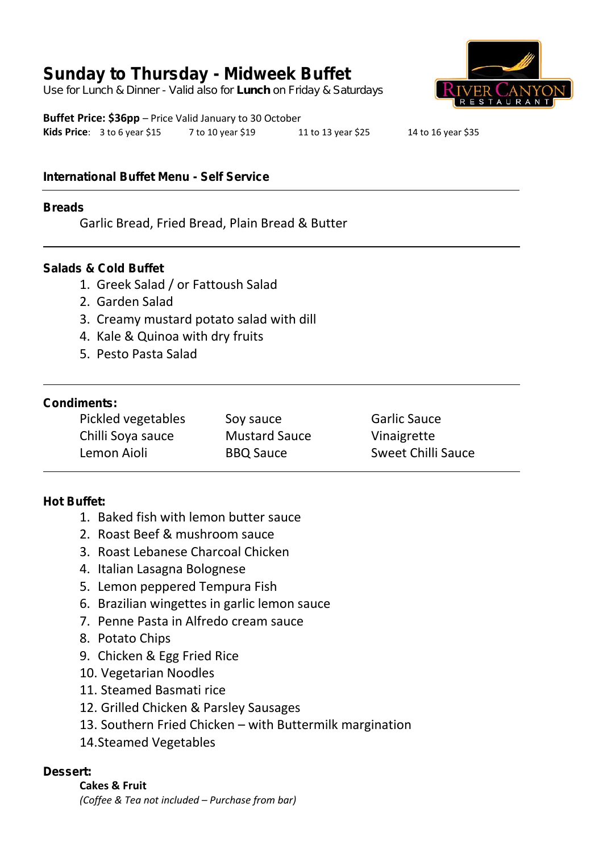# **Sunday to Thursday - Midweek Buffet**

*Use for Lunch & Dinner - Valid also for Lunch on Friday & Saturdays*

**Buffet Price: \$36pp** – Price Valid January to 30 October **Kids Price**: 3 to 6 year \$15 7 to 10 year \$19 11 to 13 year \$25 14 to 16 year \$35

# **International Buffet Menu - Self Service**

#### **Breads**

Garlic Bread, Fried Bread, Plain Bread & Butter

#### **Salads & Cold Buffet**

- 1. Greek Salad / or Fattoush Salad
- 2. Garden Salad
- 3. Creamy mustard potato salad with dill
- 4. Kale & Quinoa with dry fruits
- 5. Pesto Pasta Salad

### **Condiments:**

| Pickled vegetables | Soy sauce            | <b>Garlic Sauce</b>       |
|--------------------|----------------------|---------------------------|
| Chilli Soya sauce  | <b>Mustard Sauce</b> | Vinaigrette               |
| Lemon Aioli        | <b>BBQ Sauce</b>     | <b>Sweet Chilli Sauce</b> |

### **Hot Buffet:**

- 1. Baked fish with lemon butter sauce
- 2. Roast Beef & mushroom sauce
- 3. Roast Lebanese Charcoal Chicken
- 4. Italian Lasagna Bolognese
- 5. Lemon peppered Tempura Fish
- 6. Brazilian wingettes in garlic lemon sauce
- 7. Penne Pasta in Alfredo cream sauce
- 8. Potato Chips
- 9. Chicken & Egg Fried Rice
- 10. Vegetarian Noodles
- 11. Steamed Basmati rice
- 12. Grilled Chicken & Parsley Sausages
- 13. Southern Fried Chicken with Buttermilk margination
- 14.Steamed Vegetables

### **Dessert:**

**Cakes & Fruit** *(Coffee & Tea not included – Purchase from bar)*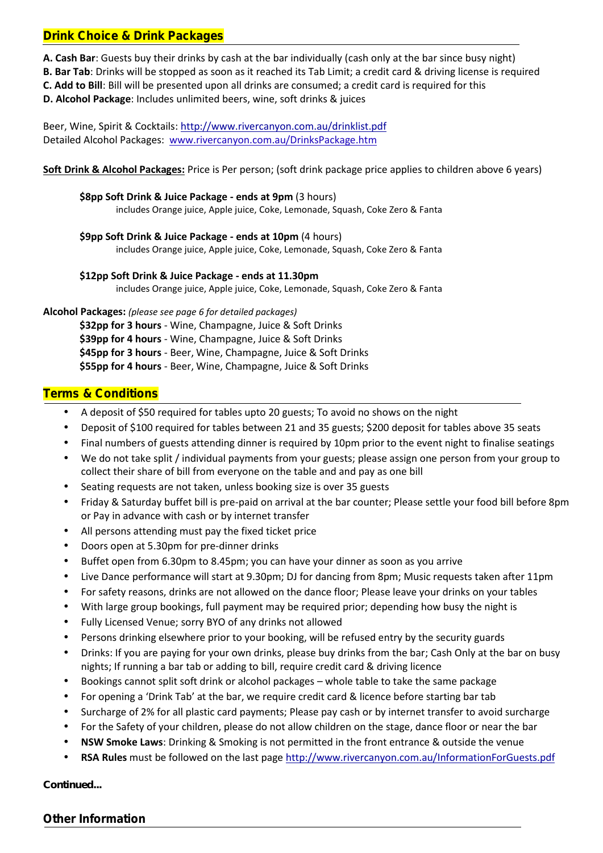## **Drink Choice & Drink Packages**

**A. Cash Bar**: Guests buy their drinks by cash at the bar individually (cash only at the bar since busy night)

**B. Bar Tab**: Drinks will be stopped as soon as it reached its Tab Limit; a credit card & driving license is required

**C. Add to Bill**: Bill will be presented upon all drinks are consumed; a credit card is required for this

**D. Alcohol Package**: Includes unlimited beers, wine, soft drinks & juices

Beer, Wine, Spirit & Cocktails: http://www.rivercanyon.com.au/drinklist.pdf Detailed Alcohol Packages: www.rivercanyon.com.au/DrinksPackage.htm

**Soft Drink & Alcohol Packages:** Price is Per person; (soft drink package price applies to children above 6 years)

**\$8pp Soft Drink & Juice Package - ends at 9pm** (3 hours) includes Orange juice, Apple juice, Coke, Lemonade, Squash, Coke Zero & Fanta

**\$9pp Soft Drink & Juice Package - ends at 10pm** (4 hours) includes Orange juice, Apple juice, Coke, Lemonade, Squash, Coke Zero & Fanta

**\$12pp Soft Drink & Juice Package - ends at 11.30pm** includes Orange juice, Apple juice, Coke, Lemonade, Squash, Coke Zero & Fanta

**Alcohol Packages:** *(please see page 6 for detailed packages)*

**\$32pp for 3 hours** - Wine, Champagne, Juice & Soft Drinks

**\$39pp for 4 hours** - Wine, Champagne, Juice & Soft Drinks

**\$45pp for 3 hours** - Beer, Wine, Champagne, Juice & Soft Drinks

**\$55pp for 4 hours** - Beer, Wine, Champagne, Juice & Soft Drinks

# **Terms & Conditions**

- A deposit of \$50 required for tables upto 20 guests; To avoid no shows on the night
- Deposit of \$100 required for tables between 21 and 35 guests; \$200 deposit for tables above 35 seats
- Final numbers of guests attending dinner is required by 10pm prior to the event night to finalise seatings
- We do not take split / individual payments from your guests; please assign one person from your group to collect their share of bill from everyone on the table and and pay as one bill
- Seating requests are not taken, unless booking size is over 35 guests
- Friday & Saturday buffet bill is pre-paid on arrival at the bar counter; Please settle your food bill before 8pm or Pay in advance with cash or by internet transfer
- All persons attending must pay the fixed ticket price
- Doors open at 5.30pm for pre-dinner drinks
- Buffet open from 6.30pm to 8.45pm; you can have your dinner as soon as you arrive
- Live Dance performance will start at 9.30pm; DJ for dancing from 8pm; Music requests taken after 11pm
- For safety reasons, drinks are not allowed on the dance floor; Please leave your drinks on your tables
- With large group bookings, full payment may be required prior; depending how busy the night is
- Fully Licensed Venue; sorry BYO of any drinks not allowed
- Persons drinking elsewhere prior to your booking, will be refused entry by the security guards
- Drinks: If you are paying for your own drinks, please buy drinks from the bar; Cash Only at the bar on busy nights; If running a bar tab or adding to bill, require credit card & driving licence
- Bookings cannot split soft drink or alcohol packages whole table to take the same package
- For opening a 'Drink Tab' at the bar, we require credit card & licence before starting bar tab
- Surcharge of 2% for all plastic card payments; Please pay cash or by internet transfer to avoid surcharge
- For the Safety of your children, please do not allow children on the stage, dance floor or near the bar
- **NSW Smoke Laws**: Drinking & Smoking is not permitted in the front entrance & outside the venue
- **RSA Rules** must be followed on the last page http://www.rivercanyon.com.au/InformationForGuests.pdf

#### *Continued...*

### **Other Information**